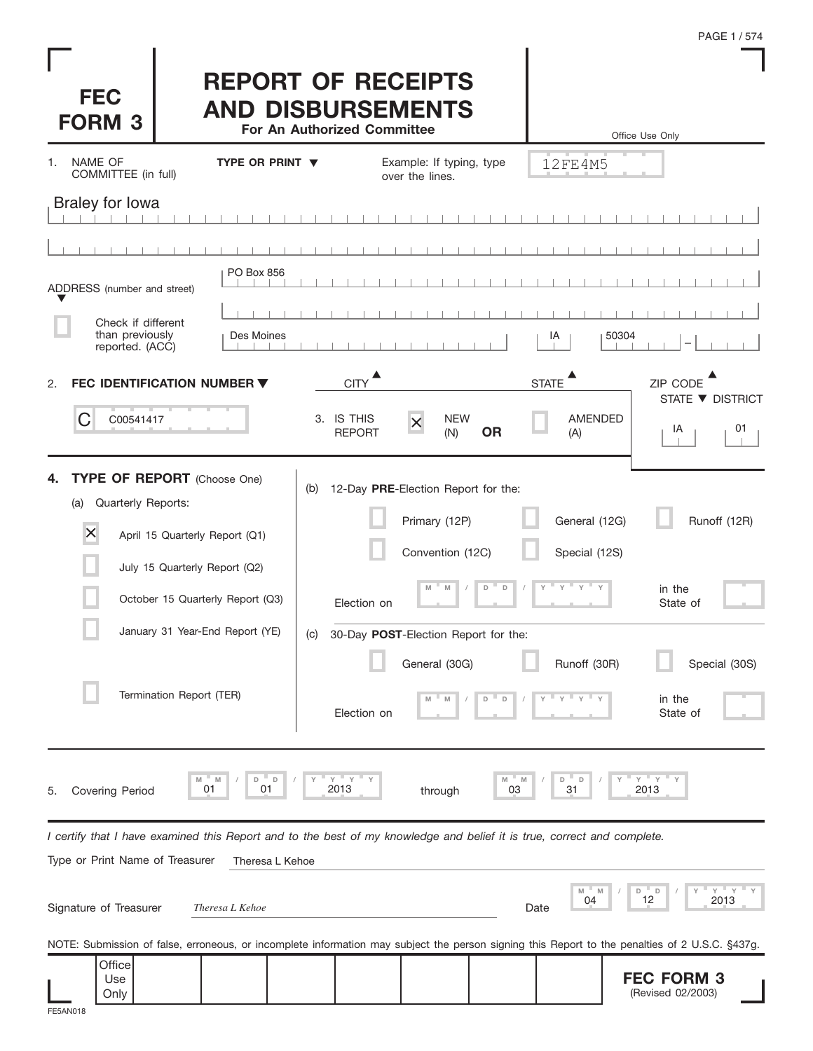| PAGE 1/574 |  |  |  |
|------------|--|--|--|
|------------|--|--|--|



## **REPORT OF RECEIPTS AND DISBURSEMENTS**

**For An Authorized Committee**

|                                                                                                                                                |                        | For An Authorized Committee |                                              |                  |                                | Office Use Only                |    |
|------------------------------------------------------------------------------------------------------------------------------------------------|------------------------|-----------------------------|----------------------------------------------|------------------|--------------------------------|--------------------------------|----|
| NAME OF<br>1.<br>COMMITTEE (in full)                                                                                                           | TYPE OR PRINT ▼        |                             | Example: If typing, type<br>over the lines.  |                  | 12FE4M5                        |                                |    |
| <b>Braley for lowa</b>                                                                                                                         |                        |                             |                                              |                  |                                |                                |    |
|                                                                                                                                                |                        |                             |                                              |                  |                                |                                |    |
| ADDRESS (number and street)                                                                                                                    | PO Box 856             |                             |                                              |                  |                                |                                |    |
| Check if different                                                                                                                             |                        |                             |                                              |                  |                                |                                |    |
| than previously<br>reported. (ACC)                                                                                                             | Des Moines             |                             |                                              |                  | IA                             | 50304                          |    |
| FEC IDENTIFICATION NUMBER ▼<br>2.                                                                                                              |                        | <b>CITY</b>                 |                                              |                  | <b>STATE</b>                   | ZIP CODE<br>STATE ▼ DISTRICT   |    |
| C<br>C00541417                                                                                                                                 |                        | 3. IS THIS<br><b>REPORT</b> | <b>NEW</b><br>$\overline{\mathsf{x}}$<br>(N) | <b>OR</b>        | <b>AMENDED</b><br>(A)          | IA                             | 01 |
| TYPE OF REPORT (Choose One)<br>4.<br>Quarterly Reports:<br>(a)                                                                                 |                        | (b)                         | 12-Day PRE-Election Report for the:          |                  |                                |                                |    |
| $\times$<br>April 15 Quarterly Report (Q1)                                                                                                     |                        |                             | Primary (12P)<br>Convention (12C)            |                  | General (12G)<br>Special (12S) | Runoff (12R)                   |    |
| July 15 Quarterly Report (Q2)                                                                                                                  |                        |                             |                                              |                  |                                |                                |    |
| October 15 Quarterly Report (Q3)                                                                                                               |                        | Election on                 | M<br>M                                       | $\mathsf D$<br>D | $-\gamma - \gamma$<br>Υ        | in the<br>State of             |    |
| January 31 Year-End Report (YE)                                                                                                                |                        | (C)                         | 30-Day POST-Election Report for the:         |                  |                                |                                |    |
|                                                                                                                                                |                        |                             | General (30G)                                |                  | Runoff (30R)                   | Special (30S)                  |    |
| Termination Report (TER)                                                                                                                       |                        | Election on                 | M                                            | $\mathsf D$<br>D | Y<br>$\mathsf{Y}$<br>Y         | in the<br>State of             |    |
| M<br>01<br><b>Covering Period</b><br>5.                                                                                                        | D<br>$\Box$<br>M<br>01 | $Y$ $Y$ $Y$<br>Υ<br>2013    | through                                      | M<br>M<br>03     | D<br>D<br>31                   | $Y$ $Y$ $Y$<br>2013            |    |
| I certify that I have examined this Report and to the best of my knowledge and belief it is true, correct and complete.                        |                        |                             |                                              |                  |                                |                                |    |
| Type or Print Name of Treasurer                                                                                                                | Theresa L Kehoe        |                             |                                              |                  |                                |                                |    |
| Signature of Treasurer                                                                                                                         | Theresa L Kehoe        |                             |                                              |                  | M<br>04<br>Date                | Y<br>Y<br>D<br>D<br>12<br>2013 |    |
| NOTE: Submission of false, erroneous, or incomplete information may subject the person signing this Report to the penalties of 2 U.S.C. §437g. |                        |                             |                                              |                  |                                |                                |    |
| Office                                                                                                                                         |                        |                             |                                              |                  |                                |                                |    |

| лпсег<br>Use<br>Only |  |  |  | <b>FFC FORM 3</b><br>- 9<br>02/2003)<br>(Revised |
|----------------------|--|--|--|--------------------------------------------------|
|                      |  |  |  |                                                  |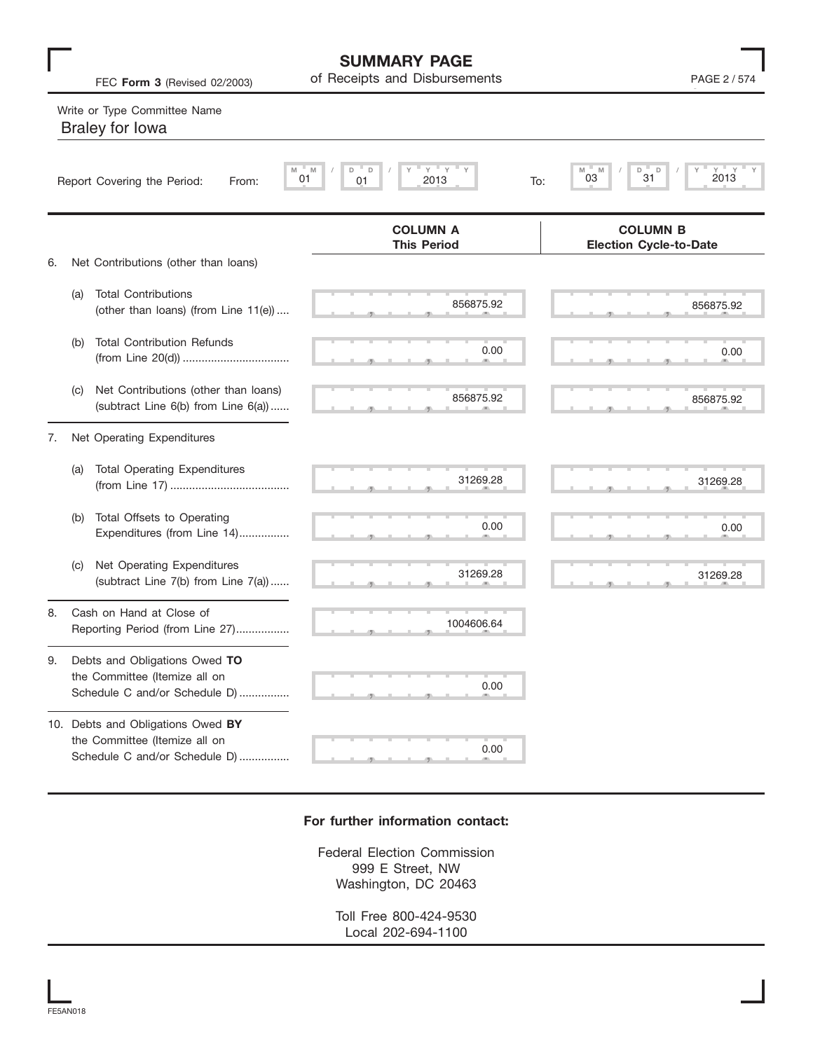|    | FEC Form 3 (Revised 02/2003)                                                                        | of Receipts and Disbursements                             | PAGE 2 / 574                                     |  |  |
|----|-----------------------------------------------------------------------------------------------------|-----------------------------------------------------------|--------------------------------------------------|--|--|
|    | Write or Type Committee Name<br><b>Braley for lowa</b>                                              |                                                           |                                                  |  |  |
|    | Report Covering the Period:<br>From:                                                                | $Y =$<br>Y<br>M<br>M<br>D<br>D<br>01<br>2013<br>01<br>To: | $Y$ $Y$<br>M<br>M<br>D<br>D<br>31<br>03<br>2013  |  |  |
|    |                                                                                                     | <b>COLUMN A</b><br><b>This Period</b>                     | <b>COLUMN B</b><br><b>Election Cycle-to-Date</b> |  |  |
| 6. | Net Contributions (other than loans)                                                                |                                                           |                                                  |  |  |
|    | <b>Total Contributions</b><br>(a)<br>(other than loans) (from Line 11(e))                           | 856875.92                                                 | 856875.92                                        |  |  |
|    | <b>Total Contribution Refunds</b><br>(b)                                                            | 0.00                                                      | 0.00                                             |  |  |
|    | Net Contributions (other than loans)<br>(C)<br>(subtract Line 6(b) from Line 6(a))                  | 856875.92                                                 | 856875.92                                        |  |  |
| 7. | Net Operating Expenditures                                                                          |                                                           |                                                  |  |  |
|    | <b>Total Operating Expenditures</b><br>(a)                                                          | 31269.28                                                  | 31269.28                                         |  |  |
|    | Total Offsets to Operating<br>(b)<br>Expenditures (from Line 14)                                    | 0.00                                                      | 0.00                                             |  |  |
|    | Net Operating Expenditures<br>(C)<br>(subtract Line 7(b) from Line 7(a))                            | 31269.28                                                  | 31269.28                                         |  |  |
| 8. | Cash on Hand at Close of<br>Reporting Period (from Line 27)                                         | 1004606.64                                                |                                                  |  |  |
| 9. | Debts and Obligations Owed TO<br>the Committee (Itemize all on<br>Schedule C and/or Schedule D)     | 0.00                                                      |                                                  |  |  |
|    | 10. Debts and Obligations Owed BY<br>the Committee (Itemize all on<br>Schedule C and/or Schedule D) | 0.00                                                      |                                                  |  |  |

**SUMMARY PAGE**

## **For further information contact:**

Federal Election Commission 999 E Street, NW Washington, DC 20463

Toll Free 800-424-9530 Local 202-694-1100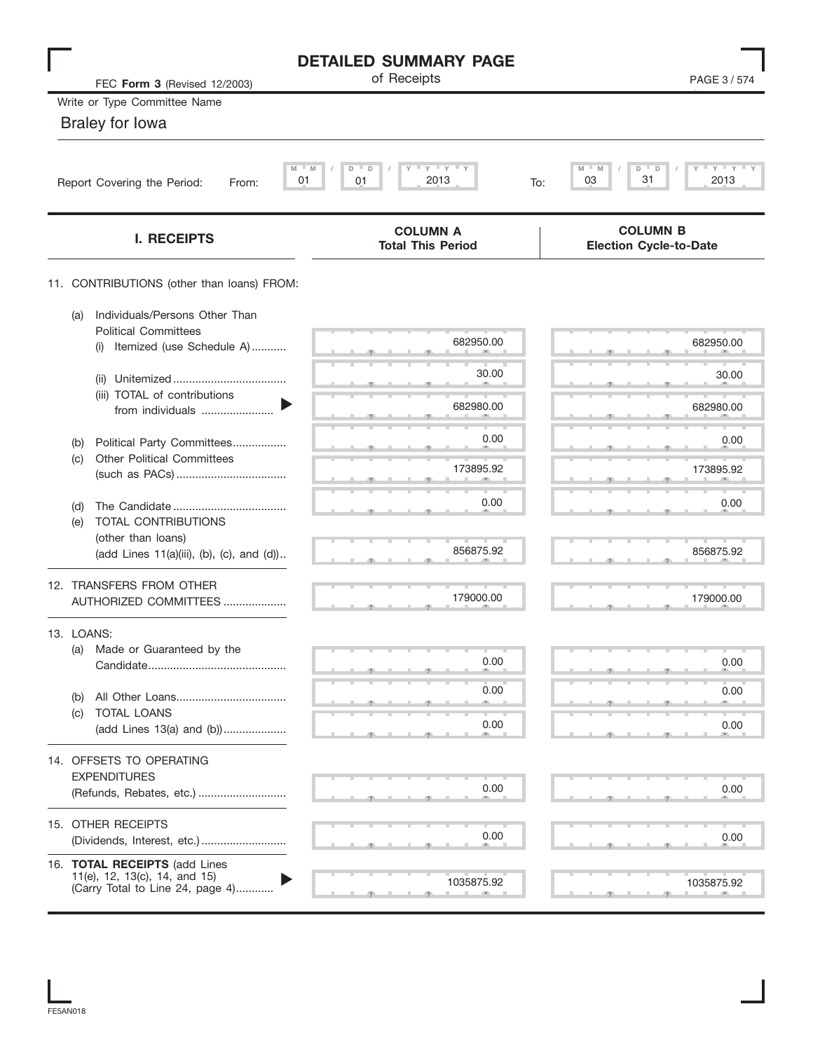| FEC Form 3 (Revised 12/2003)                                                                             | <b>DETAILED SUMMARY PAGE</b><br>of Receipts | PAGE 3/574                                                          |
|----------------------------------------------------------------------------------------------------------|---------------------------------------------|---------------------------------------------------------------------|
| Write or Type Committee Name                                                                             |                                             |                                                                     |
| <b>Braley for lowa</b>                                                                                   |                                             |                                                                     |
| M<br>01<br>Report Covering the Period:<br>From:                                                          | $Y$ $Y$<br>M<br>D<br>D<br>2013<br>01<br>To: | $-\gamma + \gamma + \gamma$<br>M<br>M<br>D<br>D<br>31<br>03<br>2013 |
| <b>I. RECEIPTS</b>                                                                                       | <b>COLUMN A</b><br><b>Total This Period</b> | <b>COLUMN B</b><br><b>Election Cycle-to-Date</b>                    |
| 11. CONTRIBUTIONS (other than loans) FROM:                                                               |                                             |                                                                     |
| Individuals/Persons Other Than<br>(a)<br><b>Political Committees</b><br>Itemized (use Schedule A)<br>(i) | 682950.00                                   | 682950.00                                                           |
| (ii)                                                                                                     | 30.00                                       | 30.00                                                               |
| (iii) TOTAL of contributions<br>from individuals                                                         | 682980.00                                   | 682980.00                                                           |
| Political Party Committees<br>(b)                                                                        | 0.00                                        | 0.00                                                                |
| <b>Other Political Committees</b><br>(c)                                                                 | 173895.92                                   | 173895.92                                                           |
| (d)<br>TOTAL CONTRIBUTIONS<br>(e)                                                                        | 0.00                                        | 0.00                                                                |
| (other than loans)<br>(add Lines 11(a)(iii), (b), (c), and (d))                                          | 856875.92                                   | 856875.92                                                           |
| 12. TRANSFERS FROM OTHER<br>AUTHORIZED COMMITTEES                                                        | 179000.00                                   | 179000.00                                                           |
| 13. LOANS:<br>Made or Guaranteed by the<br>(a)                                                           |                                             |                                                                     |
|                                                                                                          | 0.00                                        | 0.00                                                                |
| (b)<br>TOTAL LOANS<br>(C)                                                                                | 0.00                                        | 0.00                                                                |
| (add Lines 13(a) and (b))                                                                                | 0.00                                        | 0.00                                                                |
| 14. OFFSETS TO OPERATING<br><b>EXPENDITURES</b><br>(Refunds, Rebates, etc.)                              | 0.00                                        | 0.00                                                                |
| 15. OTHER RECEIPTS<br>(Dividends, Interest, etc.)                                                        | 0.00                                        | 0.00                                                                |
| 16. TOTAL RECEIPTS (add Lines<br>11(e), 12, 13(c), 14, and 15)<br>(Carry Total to Line 24, page 4)       | 1035875.92                                  | 1035875.92                                                          |

FE5AN018